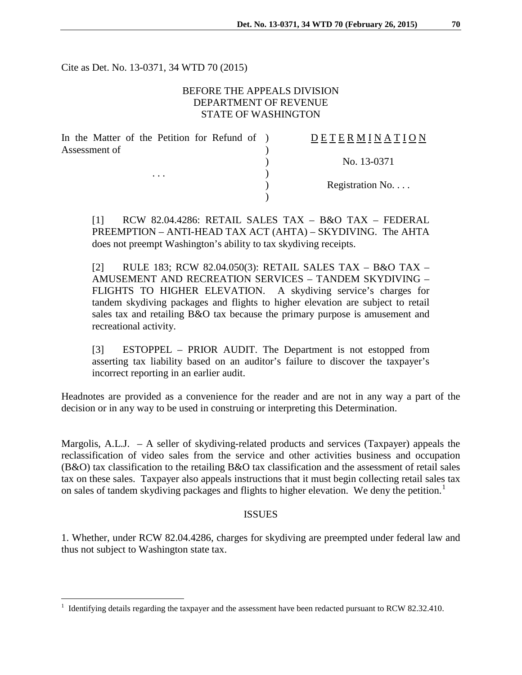Cite as Det. No. 13-0371, 34 WTD 70 (2015)

# BEFORE THE APPEALS DIVISION DEPARTMENT OF REVENUE STATE OF WASHINGTON

| In the Matter of the Petition for Refund of ) | DETERMINATION   |
|-----------------------------------------------|-----------------|
| Assessment of                                 |                 |
|                                               | No. 13-0371     |
| $\cdots$                                      |                 |
|                                               | Registration No |
|                                               |                 |

[1] RCW 82.04.4286: RETAIL SALES TAX – B&O TAX – FEDERAL PREEMPTION – ANTI-HEAD TAX ACT (AHTA) – SKYDIVING. The AHTA does not preempt Washington's ability to tax skydiving receipts.

[2] RULE 183; RCW 82.04.050(3): RETAIL SALES TAX – B&O TAX – AMUSEMENT AND RECREATION SERVICES – TANDEM SKYDIVING – FLIGHTS TO HIGHER ELEVATION. A skydiving service's charges for tandem skydiving packages and flights to higher elevation are subject to retail sales tax and retailing B&O tax because the primary purpose is amusement and recreational activity.

[3] ESTOPPEL – PRIOR AUDIT. The Department is not estopped from asserting tax liability based on an auditor's failure to discover the taxpayer's incorrect reporting in an earlier audit.

Headnotes are provided as a convenience for the reader and are not in any way a part of the decision or in any way to be used in construing or interpreting this Determination.

Margolis, A.L.J.  $- A$  seller of skydiving-related products and services (Taxpayer) appeals the reclassification of video sales from the service and other activities business and occupation  $(B&O)$  tax classification to the retailing  $B&O$  tax classification and the assessment of retail sales tax on these sales. Taxpayer also appeals instructions that it must begin collecting retail sales tax on sales of tandem skydiving packages and flights to higher elevation. We deny the petition.<sup>[1](#page-0-0)</sup>

### ISSUES

1. Whether, under RCW 82.04.4286, charges for skydiving are preempted under federal law and thus not subject to Washington state tax.

 $\overline{a}$ 

<span id="page-0-0"></span><sup>1</sup> Identifying details regarding the taxpayer and the assessment have been redacted pursuant to RCW 82.32.410.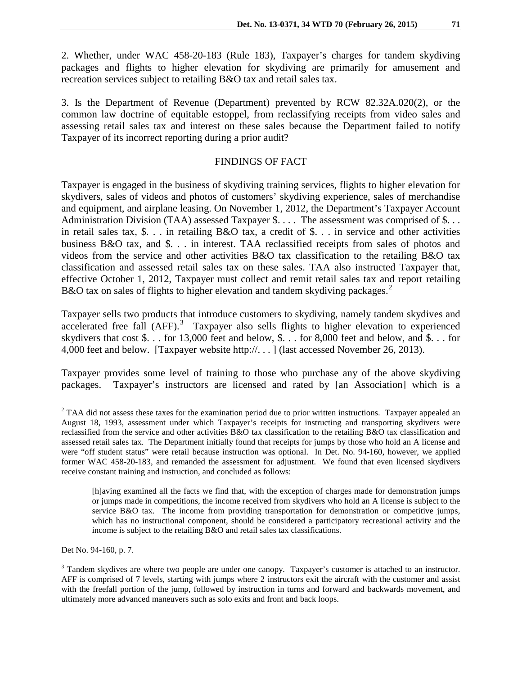2. Whether, under WAC 458-20-183 (Rule 183), Taxpayer's charges for tandem skydiving packages and flights to higher elevation for skydiving are primarily for amusement and recreation services subject to retailing B&O tax and retail sales tax.

3. Is the Department of Revenue (Department) prevented by RCW 82.32A.020(2), or the common law doctrine of equitable estoppel, from reclassifying receipts from video sales and assessing retail sales tax and interest on these sales because the Department failed to notify Taxpayer of its incorrect reporting during a prior audit?

## FINDINGS OF FACT

Taxpayer is engaged in the business of skydiving training services, flights to higher elevation for skydivers, sales of videos and photos of customers' skydiving experience, sales of merchandise and equipment, and airplane leasing. On November 1, 2012, the Department's Taxpayer Account Administration Division (TAA) assessed Taxpayer \$. . . . The assessment was comprised of \$. . . in retail sales tax, \$. . . in retailing B&O tax, a credit of \$. . . in service and other activities business B&O tax, and \$. . . in interest. TAA reclassified receipts from sales of photos and videos from the service and other activities B&O tax classification to the retailing B&O tax classification and assessed retail sales tax on these sales. TAA also instructed Taxpayer that, effective October 1, 2012, Taxpayer must collect and remit retail sales tax and report retailing B&O tax on sales of flights to higher elevation and tandem skydiving packages.<sup>[2](#page-1-0)</sup>

Taxpayer sells two products that introduce customers to skydiving, namely tandem skydives and accelerated free fall (AFF).<sup>[3](#page-1-1)</sup> Taxpayer also sells flights to higher elevation to experienced skydivers that cost \$. . . for 13,000 feet and below, \$. . . for 8,000 feet and below, and \$. . . for 4,000 feet and below. [Taxpayer website http://. . . ] (last accessed November 26, 2013).

Taxpayer provides some level of training to those who purchase any of the above skydiving packages. Taxpayer's instructors are licensed and rated by [an Association] which is a

Det No. 94-160, p. 7.

 $\overline{a}$ 

<span id="page-1-0"></span> $2$  TAA did not assess these taxes for the examination period due to prior written instructions. Taxpayer appealed an August 18, 1993, assessment under which Taxpayer's receipts for instructing and transporting skydivers were reclassified from the service and other activities B&O tax classification to the retailing B&O tax classification and assessed retail sales tax. The Department initially found that receipts for jumps by those who hold an A license and were "off student status" were retail because instruction was optional. In Det. No. 94-160, however, we applied former WAC 458-20-183, and remanded the assessment for adjustment. We found that even licensed skydivers receive constant training and instruction, and concluded as follows:

<sup>[</sup>h]aving examined all the facts we find that, with the exception of charges made for demonstration jumps or jumps made in competitions, the income received from skydivers who hold an A license is subject to the service B&O tax. The income from providing transportation for demonstration or competitive jumps, which has no instructional component, should be considered a participatory recreational activity and the income is subject to the retailing B&O and retail sales tax classifications.

<span id="page-1-1"></span><sup>&</sup>lt;sup>3</sup> Tandem skydives are where two people are under one canopy. Taxpayer's customer is attached to an instructor. AFF is comprised of 7 levels, starting with jumps where 2 instructors exit the aircraft with the customer and assist with the freefall portion of the jump, followed by instruction in turns and forward and backwards movement, and ultimately more advanced maneuvers such as solo exits and front and back loops.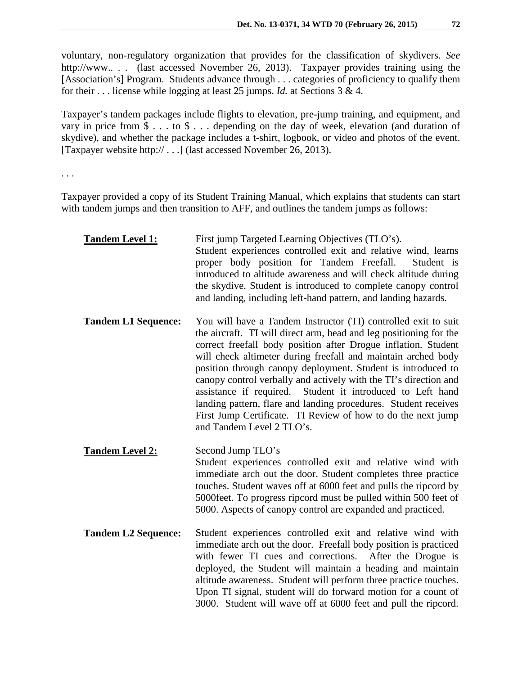voluntary, non-regulatory organization that provides for the classification of skydivers. *See* http://www.. . . (last accessed November 26, 2013). Taxpayer provides training using the [Association's] Program. Students advance through . . . categories of proficiency to qualify them for their . . . license while logging at least 25 jumps. *Id.* at Sections 3 & 4.

Taxpayer's tandem packages include flights to elevation, pre-jump training, and equipment, and vary in price from \$ . . . to \$ . . . depending on the day of week, elevation (and duration of skydive), and whether the package includes a t-shirt, logbook, or video and photos of the event. [Taxpayer website http:// . . .] (last accessed November 26, 2013).

. . .

Taxpayer provided a copy of its Student Training Manual, which explains that students can start with tandem jumps and then transition to AFF, and outlines the tandem jumps as follows:

| <b>Tandem Level 1:</b>     | First jump Targeted Learning Objectives (TLO's).<br>Student experiences controlled exit and relative wind, learns<br>proper body position for Tandem Freefall.<br>Student is<br>introduced to altitude awareness and will check altitude during<br>the skydive. Student is introduced to complete canopy control<br>and landing, including left-hand pattern, and landing hazards.                                                                                                                                                                                                                                                           |
|----------------------------|----------------------------------------------------------------------------------------------------------------------------------------------------------------------------------------------------------------------------------------------------------------------------------------------------------------------------------------------------------------------------------------------------------------------------------------------------------------------------------------------------------------------------------------------------------------------------------------------------------------------------------------------|
| <b>Tandem L1 Sequence:</b> | You will have a Tandem Instructor (TI) controlled exit to suit<br>the aircraft. TI will direct arm, head and leg positioning for the<br>correct freefall body position after Drogue inflation. Student<br>will check altimeter during freefall and maintain arched body<br>position through canopy deployment. Student is introduced to<br>canopy control verbally and actively with the TI's direction and<br>assistance if required.<br>Student it introduced to Left hand<br>landing pattern, flare and landing procedures. Student receives<br>First Jump Certificate. TI Review of how to do the next jump<br>and Tandem Level 2 TLO's. |
| <b>Tandem Level 2:</b>     | Second Jump TLO's<br>Student experiences controlled exit and relative wind with<br>immediate arch out the door. Student completes three practice<br>touches. Student waves off at 6000 feet and pulls the ripcord by<br>5000 feet. To progress ripcord must be pulled within 500 feet of<br>5000. Aspects of canopy control are expanded and practiced.                                                                                                                                                                                                                                                                                      |
| <b>Tandem L2 Sequence:</b> | Student experiences controlled exit and relative wind with<br>immediate arch out the door. Freefall body position is practiced<br>with fewer TI cues and corrections.<br>After the Drogue is<br>deployed, the Student will maintain a heading and maintain<br>altitude awareness. Student will perform three practice touches.<br>Upon TI signal, student will do forward motion for a count of<br>3000. Student will wave off at 6000 feet and pull the ripcord.                                                                                                                                                                            |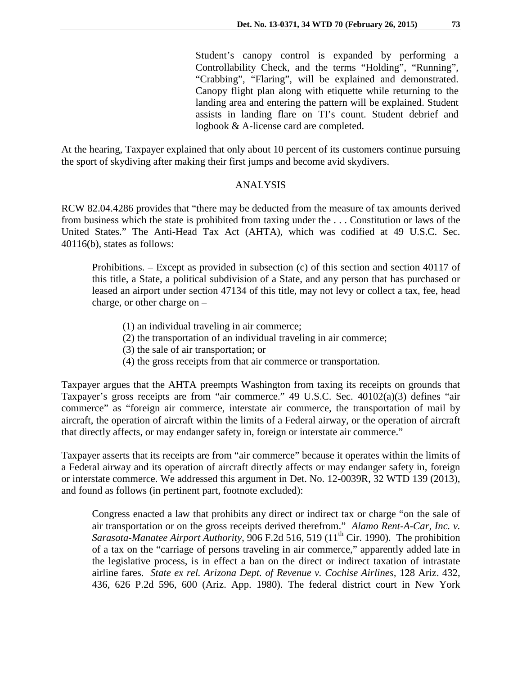Student's canopy control is expanded by performing a Controllability Check, and the terms "Holding", "Running", "Crabbing", "Flaring", will be explained and demonstrated. Canopy flight plan along with etiquette while returning to the landing area and entering the pattern will be explained. Student assists in landing flare on TI's count. Student debrief and logbook & A-license card are completed.

At the hearing, Taxpayer explained that only about 10 percent of its customers continue pursuing the sport of skydiving after making their first jumps and become avid skydivers.

### ANALYSIS

RCW 82.04.4286 provides that "there may be deducted from the measure of tax amounts derived from business which the state is prohibited from taxing under the . . . Constitution or laws of the United States." The Anti-Head Tax Act (AHTA), which was codified at 49 U.S.C. Sec. 40116(b), states as follows:

Prohibitions. – Except as provided in subsection (c) of this section and section 40117 of this title, a State, a political subdivision of a State, and any person that has purchased or leased an airport under section 47134 of this title, may not levy or collect a tax, fee, head charge, or other charge on –

- (1) an individual traveling in air commerce;
- (2) the transportation of an individual traveling in air commerce;
- (3) the sale of air transportation; or
- (4) the gross receipts from that air commerce or transportation.

Taxpayer argues that the AHTA preempts Washington from taxing its receipts on grounds that Taxpayer's gross receipts are from "air commerce." 49 U.S.C. Sec. 40102(a)(3) defines "air commerce" as "foreign air commerce, interstate air commerce, the transportation of mail by aircraft, the operation of aircraft within the limits of a Federal airway, or the operation of aircraft that directly affects, or may endanger safety in, foreign or interstate air commerce."

Taxpayer asserts that its receipts are from "air commerce" because it operates within the limits of a Federal airway and its operation of aircraft directly affects or may endanger safety in, foreign or interstate commerce. We addressed this argument in Det. No. 12-0039R, 32 WTD 139 (2013), and found as follows (in pertinent part, footnote excluded):

Congress enacted a law that prohibits any direct or indirect tax or charge "on the sale of air transportation or on the gross receipts derived therefrom." *Alamo Rent-A-Car, Inc. v. Sarasota-Manatee Airport Authority*, 906 F.2d 516, 519 (11<sup>th</sup> Cir. 1990). The prohibition of a tax on the "carriage of persons traveling in air commerce," apparently added late in the legislative process, is in effect a ban on the direct or indirect taxation of intrastate airline fares. *State ex rel. Arizona Dept. of Revenue v. Cochise Airlines,* 128 Ariz. 432, 436, 626 P.2d 596, 600 (Ariz. App. 1980). The federal district court in New York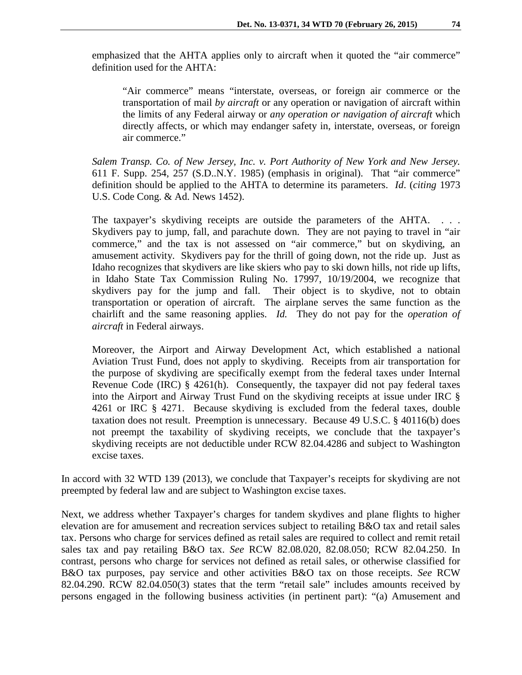emphasized that the AHTA applies only to aircraft when it quoted the "air commerce" definition used for the AHTA:

"Air commerce" means "interstate, overseas, or foreign air commerce or the transportation of mail *by aircraft* or any operation or navigation of aircraft within the limits of any Federal airway or *any operation or navigation of aircraft* which directly affects, or which may endanger safety in, interstate, overseas, or foreign air commerce."

*Salem Transp. Co. of New Jersey, Inc. v. Port Authority of New York and New Jersey.* 611 F. Supp. 254, 257 (S.D..N.Y. 1985) (emphasis in original). That "air commerce" definition should be applied to the AHTA to determine its parameters. *Id*. (*citing* 1973 U.S. Code Cong. & Ad. News 1452).

The taxpayer's skydiving receipts are outside the parameters of the AHTA. . . . Skydivers pay to jump, fall, and parachute down. They are not paying to travel in "air commerce," and the tax is not assessed on "air commerce," but on skydiving, an amusement activity. Skydivers pay for the thrill of going down, not the ride up. Just as Idaho recognizes that skydivers are like skiers who pay to ski down hills, not ride up lifts, in Idaho State Tax Commission Ruling No. 17997, 10/19/2004, we recognize that skydivers pay for the jump and fall. Their object is to skydive, not to obtain transportation or operation of aircraft. The airplane serves the same function as the chairlift and the same reasoning applies. *Id.* They do not pay for the *operation of aircraft* in Federal airways.

Moreover, the Airport and Airway Development Act, which established a national Aviation Trust Fund, does not apply to skydiving. Receipts from air transportation for the purpose of skydiving are specifically exempt from the federal taxes under Internal Revenue Code (IRC) § 4261(h). Consequently, the taxpayer did not pay federal taxes into the Airport and Airway Trust Fund on the skydiving receipts at issue under IRC § 4261 or IRC § 4271. Because skydiving is excluded from the federal taxes, double taxation does not result. Preemption is unnecessary. Because 49 U.S.C. § 40116(b) does not preempt the taxability of skydiving receipts, we conclude that the taxpayer's skydiving receipts are not deductible under RCW 82.04.4286 and subject to Washington excise taxes.

In accord with 32 WTD 139 (2013), we conclude that Taxpayer's receipts for skydiving are not preempted by federal law and are subject to Washington excise taxes.

Next, we address whether Taxpayer's charges for tandem skydives and plane flights to higher elevation are for amusement and recreation services subject to retailing B&O tax and retail sales tax. Persons who charge for services defined as retail sales are required to collect and remit retail sales tax and pay retailing B&O tax. *See* RCW 82.08.020, 82.08.050; RCW 82.04.250. In contrast, persons who charge for services not defined as retail sales, or otherwise classified for B&O tax purposes, pay service and other activities B&O tax on those receipts. *See* RCW 82.04.290. RCW 82.04.050(3) states that the term "retail sale" includes amounts received by persons engaged in the following business activities (in pertinent part): "(a) Amusement and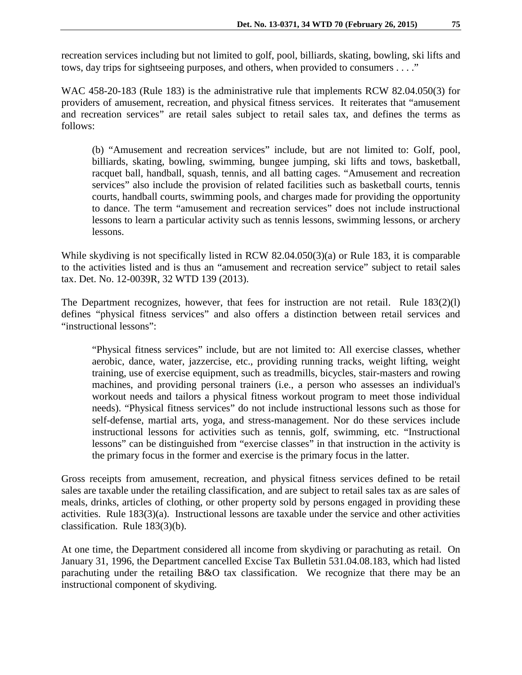recreation services including but not limited to golf, pool, billiards, skating, bowling, ski lifts and tows, day trips for sightseeing purposes, and others, when provided to consumers . . . ."

WAC 458-20-183 (Rule 183) is the administrative rule that implements RCW 82.04.050(3) for providers of amusement, recreation, and physical fitness services. It reiterates that "amusement and recreation services" are retail sales subject to retail sales tax, and defines the terms as follows:

(b) "Amusement and recreation services" include, but are not limited to: Golf, pool, billiards, skating, bowling, swimming, bungee jumping, ski lifts and tows, basketball, racquet ball, handball, squash, tennis, and all batting cages. "Amusement and recreation services" also include the provision of related facilities such as basketball courts, tennis courts, handball courts, swimming pools, and charges made for providing the opportunity to dance. The term "amusement and recreation services" does not include instructional lessons to learn a particular activity such as tennis lessons, swimming lessons, or archery lessons.

While skydiving is not specifically listed in RCW 82.04.050(3)(a) or Rule 183, it is comparable to the activities listed and is thus an "amusement and recreation service" subject to retail sales tax. Det. No. 12-0039R, 32 WTD 139 (2013).

The Department recognizes, however, that fees for instruction are not retail. Rule  $183(2)(l)$ defines "physical fitness services" and also offers a distinction between retail services and "instructional lessons":

"Physical fitness services" include, but are not limited to: All exercise classes, whether aerobic, dance, water, jazzercise, etc., providing running tracks, weight lifting, weight training, use of exercise equipment, such as treadmills, bicycles, stair-masters and rowing machines, and providing personal trainers (i.e., a person who assesses an individual's workout needs and tailors a physical fitness workout program to meet those individual needs). "Physical fitness services" do not include instructional lessons such as those for self-defense, martial arts, yoga, and stress-management. Nor do these services include instructional lessons for activities such as tennis, golf, swimming, etc. "Instructional lessons" can be distinguished from "exercise classes" in that instruction in the activity is the primary focus in the former and exercise is the primary focus in the latter.

Gross receipts from amusement, recreation, and physical fitness services defined to be retail sales are taxable under the retailing classification, and are subject to retail sales tax as are sales of meals, drinks, articles of clothing, or other property sold by persons engaged in providing these activities. Rule 183(3)(a). Instructional lessons are taxable under the service and other activities classification. Rule 183(3)(b).

At one time, the Department considered all income from skydiving or parachuting as retail. On January 31, 1996, the Department cancelled Excise Tax Bulletin 531.04.08.183, which had listed parachuting under the retailing B&O tax classification. We recognize that there may be an instructional component of skydiving.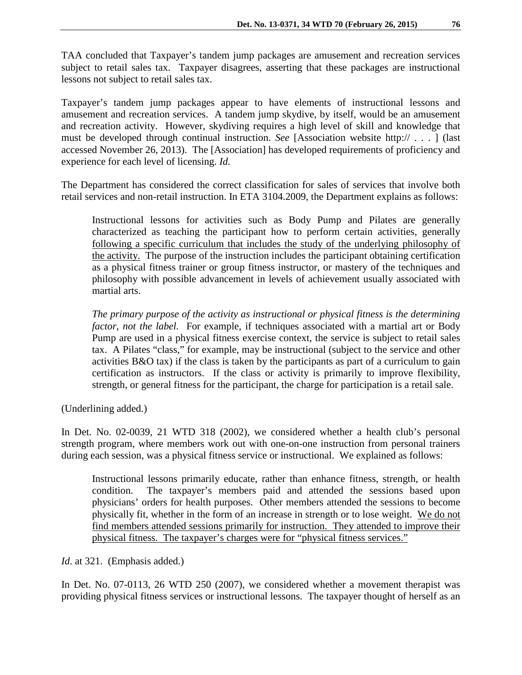TAA concluded that Taxpayer's tandem jump packages are amusement and recreation services subject to retail sales tax. Taxpayer disagrees, asserting that these packages are instructional lessons not subject to retail sales tax.

Taxpayer's tandem jump packages appear to have elements of instructional lessons and amusement and recreation services. A tandem jump skydive, by itself, would be an amusement and recreation activity. However, skydiving requires a high level of skill and knowledge that must be developed through continual instruction. *See* [Association website http:// . . . ] (last accessed November 26, 2013). The [Association] has developed requirements of proficiency and experience for each level of licensing. *Id.*

The Department has considered the correct classification for sales of services that involve both retail services and non-retail instruction. In ETA 3104.2009, the Department explains as follows:

Instructional lessons for activities such as Body Pump and Pilates are generally characterized as teaching the participant how to perform certain activities, generally following a specific curriculum that includes the study of the underlying philosophy of the activity. The purpose of the instruction includes the participant obtaining certification as a physical fitness trainer or group fitness instructor, or mastery of the techniques and philosophy with possible advancement in levels of achievement usually associated with martial arts.

*The primary purpose of the activity as instructional or physical fitness is the determining factor, not the label.* For example, if techniques associated with a martial art or Body Pump are used in a physical fitness exercise context, the service is subject to retail sales tax. A Pilates "class," for example, may be instructional (subject to the service and other activities B&O tax) if the class is taken by the participants as part of a curriculum to gain certification as instructors. If the class or activity is primarily to improve flexibility, strength, or general fitness for the participant, the charge for participation is a retail sale.

(Underlining added.)

In Det. No. 02-0039, 21 WTD 318 (2002), we considered whether a health club's personal strength program, where members work out with one-on-one instruction from personal trainers during each session, was a physical fitness service or instructional. We explained as follows:

Instructional lessons primarily educate, rather than enhance fitness, strength, or health condition. The taxpayer's members paid and attended the sessions based upon physicians' orders for health purposes. Other members attended the sessions to become physically fit, whether in the form of an increase in strength or to lose weight. We do not find members attended sessions primarily for instruction. They attended to improve their physical fitness. The taxpayer's charges were for "physical fitness services."

*Id*. at 321. (Emphasis added.)

In Det. No. 07-0113, 26 WTD 250 (2007), we considered whether a movement therapist was providing physical fitness services or instructional lessons. The taxpayer thought of herself as an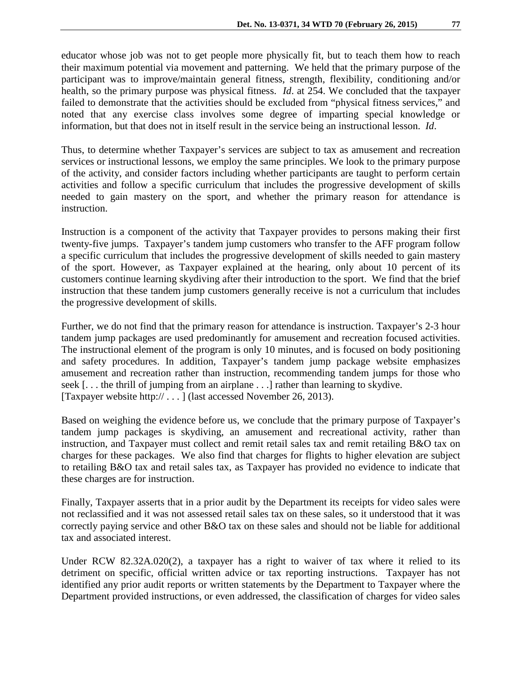educator whose job was not to get people more physically fit, but to teach them how to reach their maximum potential via movement and patterning. We held that the primary purpose of the participant was to improve/maintain general fitness, strength, flexibility, conditioning and/or health, so the primary purpose was physical fitness. *Id*. at 254. We concluded that the taxpayer failed to demonstrate that the activities should be excluded from "physical fitness services," and noted that any exercise class involves some degree of imparting special knowledge or information, but that does not in itself result in the service being an instructional lesson. *Id*.

Thus, to determine whether Taxpayer's services are subject to tax as amusement and recreation services or instructional lessons, we employ the same principles. We look to the primary purpose of the activity, and consider factors including whether participants are taught to perform certain activities and follow a specific curriculum that includes the progressive development of skills needed to gain mastery on the sport, and whether the primary reason for attendance is instruction.

Instruction is a component of the activity that Taxpayer provides to persons making their first twenty-five jumps. Taxpayer's tandem jump customers who transfer to the AFF program follow a specific curriculum that includes the progressive development of skills needed to gain mastery of the sport. However, as Taxpayer explained at the hearing, only about 10 percent of its customers continue learning skydiving after their introduction to the sport. We find that the brief instruction that these tandem jump customers generally receive is not a curriculum that includes the progressive development of skills.

Further, we do not find that the primary reason for attendance is instruction. Taxpayer's 2-3 hour tandem jump packages are used predominantly for amusement and recreation focused activities. The instructional element of the program is only 10 minutes, and is focused on body positioning and safety procedures. In addition, Taxpayer's tandem jump package website emphasizes amusement and recreation rather than instruction, recommending tandem jumps for those who seek [. . . the thrill of jumping from an airplane . . .] rather than learning to skydive. [Taxpayer website http:// . . . ] (last accessed November 26, 2013).

Based on weighing the evidence before us, we conclude that the primary purpose of Taxpayer's tandem jump packages is skydiving, an amusement and recreational activity, rather than instruction, and Taxpayer must collect and remit retail sales tax and remit retailing B&O tax on charges for these packages. We also find that charges for flights to higher elevation are subject to retailing B&O tax and retail sales tax, as Taxpayer has provided no evidence to indicate that these charges are for instruction.

Finally, Taxpayer asserts that in a prior audit by the Department its receipts for video sales were not reclassified and it was not assessed retail sales tax on these sales, so it understood that it was correctly paying service and other B&O tax on these sales and should not be liable for additional tax and associated interest.

Under RCW 82.32A.020(2), a taxpayer has a right to waiver of tax where it relied to its detriment on specific, official written advice or tax reporting instructions. Taxpayer has not identified any prior audit reports or written statements by the Department to Taxpayer where the Department provided instructions, or even addressed, the classification of charges for video sales